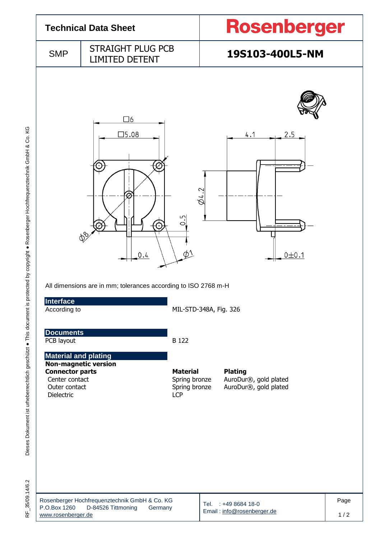

Dieses Dokument ist urheberrechtlich geschützt . This document is protected by copyright . Rosenberger Hochfrequenztechnik GmbH & Co. KG F\_35/09.14/6.2 Dieses Dokument ist urheberrechtlich geschützt ● This document is protected by copyright ● Rosenberger Hochfrequenztechnik GmbH & Co. KG

35/09.14/6.2  $\frac{\mu}{\alpha}$